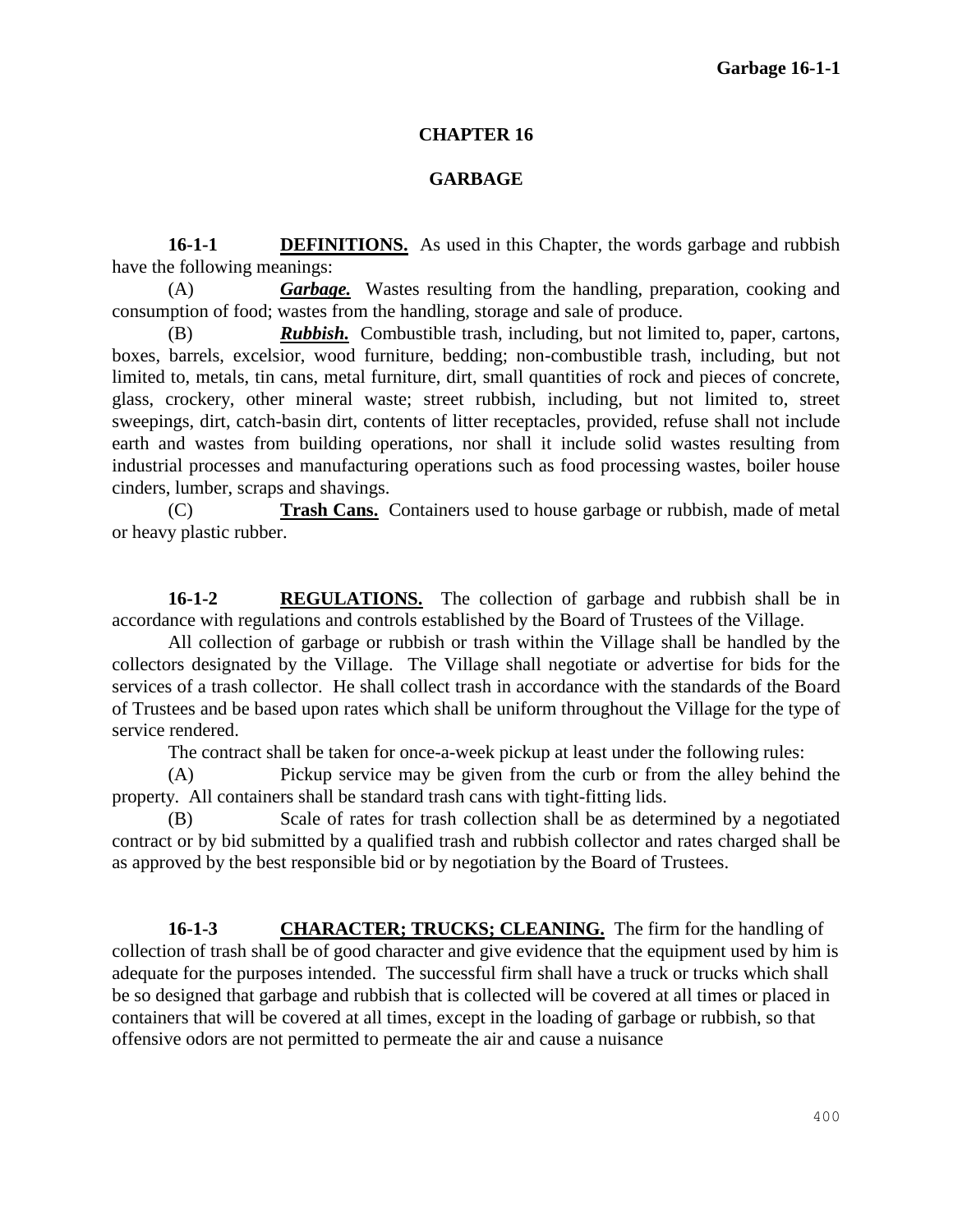## **CHAPTER 16**

## **GARBAGE**

**16-1-1 DEFINITIONS.** As used in this Chapter, the words garbage and rubbish have the following meanings:

(A) *Garbage.*Wastes resulting from the handling, preparation, cooking and consumption of food; wastes from the handling, storage and sale of produce.

(B) *Rubbish.* Combustible trash, including, but not limited to, paper, cartons, boxes, barrels, excelsior, wood furniture, bedding; non-combustible trash, including, but not limited to, metals, tin cans, metal furniture, dirt, small quantities of rock and pieces of concrete, glass, crockery, other mineral waste; street rubbish, including, but not limited to, street sweepings, dirt, catch-basin dirt, contents of litter receptacles, provided, refuse shall not include earth and wastes from building operations, nor shall it include solid wastes resulting from industrial processes and manufacturing operations such as food processing wastes, boiler house cinders, lumber, scraps and shavings.

(C) **Trash Cans.** Containers used to house garbage or rubbish, made of metal or heavy plastic rubber.

**16-1-2 REGULATIONS.** The collection of garbage and rubbish shall be in accordance with regulations and controls established by the Board of Trustees of the Village.

All collection of garbage or rubbish or trash within the Village shall be handled by the collectors designated by the Village. The Village shall negotiate or advertise for bids for the services of a trash collector. He shall collect trash in accordance with the standards of the Board of Trustees and be based upon rates which shall be uniform throughout the Village for the type of service rendered.

The contract shall be taken for once-a-week pickup at least under the following rules:

(A) Pickup service may be given from the curb or from the alley behind the property. All containers shall be standard trash cans with tight-fitting lids.

(B) Scale of rates for trash collection shall be as determined by a negotiated contract or by bid submitted by a qualified trash and rubbish collector and rates charged shall be as approved by the best responsible bid or by negotiation by the Board of Trustees.

**16-1-3 CHARACTER; TRUCKS; CLEANING.** The firm for the handling of collection of trash shall be of good character and give evidence that the equipment used by him is adequate for the purposes intended. The successful firm shall have a truck or trucks which shall be so designed that garbage and rubbish that is collected will be covered at all times or placed in containers that will be covered at all times, except in the loading of garbage or rubbish, so that offensive odors are not permitted to permeate the air and cause a nuisance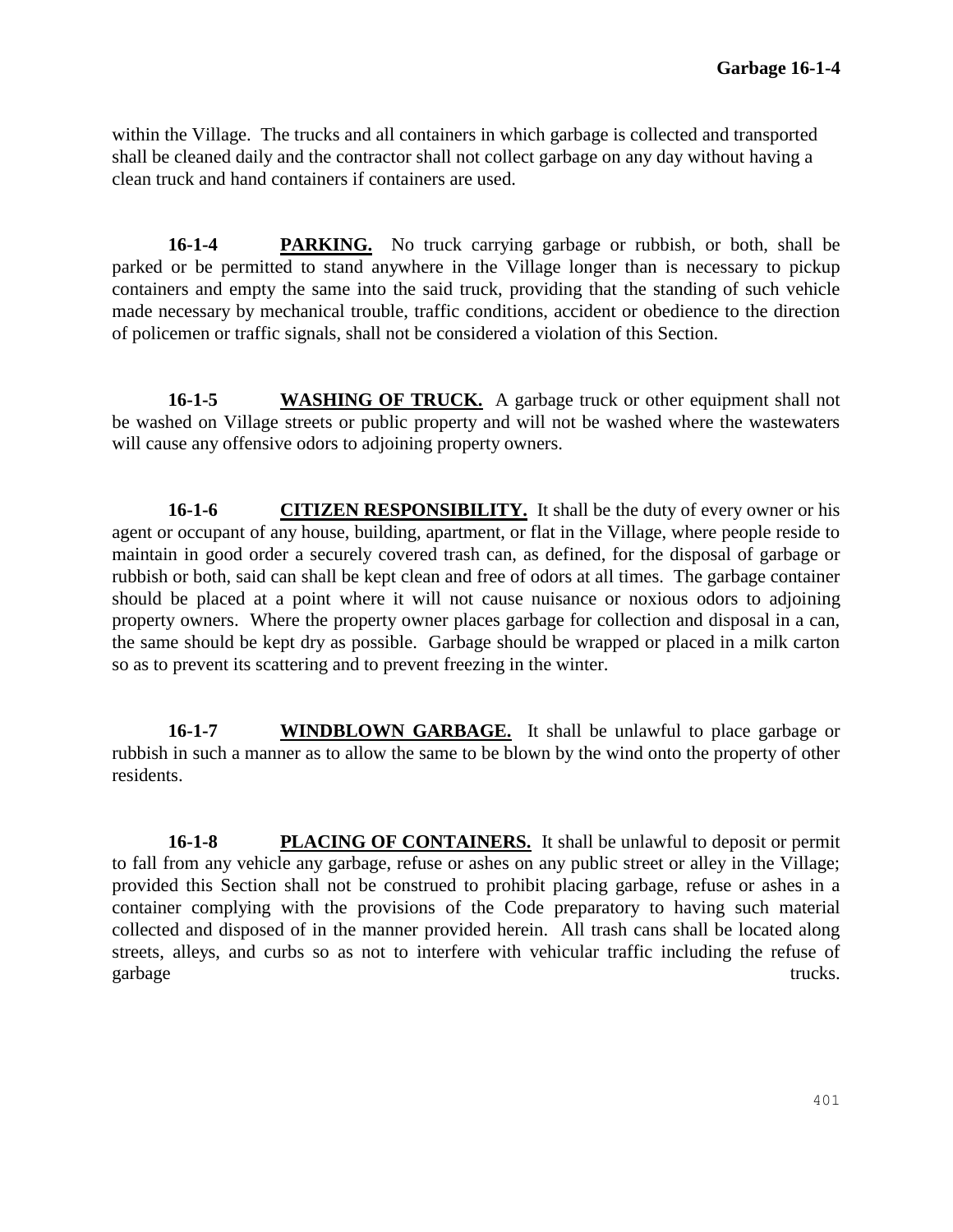within the Village. The trucks and all containers in which garbage is collected and transported shall be cleaned daily and the contractor shall not collect garbage on any day without having a clean truck and hand containers if containers are used.

**16-1-4 PARKING.** No truck carrying garbage or rubbish, or both, shall be parked or be permitted to stand anywhere in the Village longer than is necessary to pickup containers and empty the same into the said truck, providing that the standing of such vehicle made necessary by mechanical trouble, traffic conditions, accident or obedience to the direction of policemen or traffic signals, shall not be considered a violation of this Section.

**16-1-5 WASHING OF TRUCK.** A garbage truck or other equipment shall not be washed on Village streets or public property and will not be washed where the wastewaters will cause any offensive odors to adjoining property owners.

**16-1-6 CITIZEN RESPONSIBILITY.** It shall be the duty of every owner or his agent or occupant of any house, building, apartment, or flat in the Village, where people reside to maintain in good order a securely covered trash can, as defined, for the disposal of garbage or rubbish or both, said can shall be kept clean and free of odors at all times. The garbage container should be placed at a point where it will not cause nuisance or noxious odors to adjoining property owners. Where the property owner places garbage for collection and disposal in a can, the same should be kept dry as possible. Garbage should be wrapped or placed in a milk carton so as to prevent its scattering and to prevent freezing in the winter.

**16-1-7 WINDBLOWN GARBAGE.** It shall be unlawful to place garbage or rubbish in such a manner as to allow the same to be blown by the wind onto the property of other residents.

**16-1-8 PLACING OF CONTAINERS.** It shall be unlawful to deposit or permit to fall from any vehicle any garbage, refuse or ashes on any public street or alley in the Village; provided this Section shall not be construed to prohibit placing garbage, refuse or ashes in a container complying with the provisions of the Code preparatory to having such material collected and disposed of in the manner provided herein. All trash cans shall be located along streets, alleys, and curbs so as not to interfere with vehicular traffic including the refuse of garbage trucks.